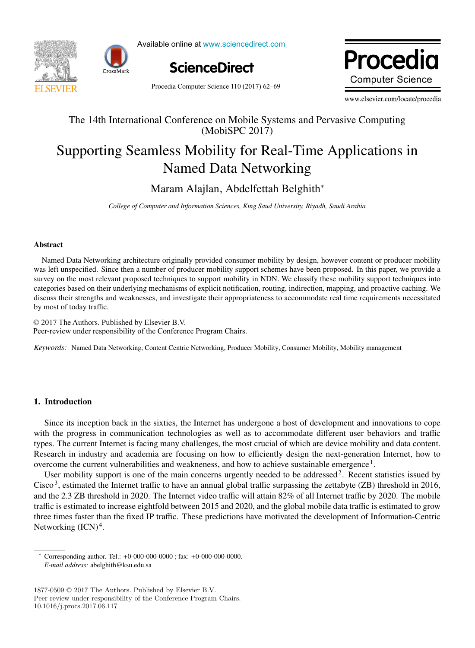



Available online at www.sciencedirect.com Available online at www.sciencedirect.com



Procedia **Computer Science** 

Procedia Computer Science 110 (2017) 62-69

www.elsevier.com/locate/procedia www.elsevier.com/locate/procediate/procediate/procediate/procediate/

### The 14th International Conference on Mobile Systems and Pervasive Computing The 14th International Conference on Mobile Systems and Pervasive Computing (MobiSPC 2017) (MobiSPC 2017)

# Supporting Seamless Mobility for Real-Time Applications in Supporting Seamless Mobility for Real-Time Applications in Named Data Networking Named Data Networking

Maram Alajlan, Abdelfettah Belghith<sup>∗</sup> Maram Alajlan, Abdelfettah Belghith<sup>∗</sup>

*College of Computer and Information Sciences, King Saud University, Riyadh, Saudi Arabia College of Computer and Information Sciences, King Saud University, Riyadh, Saudi Arabia*

#### Abstract

was left unspecified. Since then a number of producer mobility support schemes have been proposed. In this paper, we provide a survey on the most relevant proposed techniques to support mobility in NDN. We classify these mobility support techniques into categories based on their underlying mechanisms of explicit notification, routing, indirection, mapping, and proactive caching. We discuss their strengths and weaknesses, and investigate their appropriateness to accommodate real time requirements necessitated  $\theta$  and  $\theta$  and  $\theta$  investigate the investigate the appropriate real time requirements necessitation requirements necessary necessary necessary necessary necessary necessary necessary necessary necessary necessary nece by most of today traffic. by most of today traffic. Named Data Networking architecture originally provided consumer mobility by design, however content or producer mobility

© 2017 The Authors. Published by Elsevier B.V. Peer-review under responsibility of the Conference Program Chairs. Peer-review under responsibility of the Conference Program Chairs. Peer-review under responsibility of the Conference Program Chairs.

Keywords: Named Data Networking, Content Centric Networking, Producer Mobility, Consumer Mobility, Mobility management

### 1. Introduction 1. Introduction

Since its inception back in the sixties, the Internet has undergone a host of development and innovations to cope with the progress in communication technologies as well as to accommodate different user behaviors and traffic types. The current Internet is facing many challenges, the most crucial of which are device mobility and data content. Research in industry and academia are focusing on how to efficiently design the next-generation Internet, how to overcome the current vulnerabilities and weakneness, and how to achieve sustainable emergence <sup>1</sup>.<br>User mobility support is one of the main concerns urgently needed to be addressed<sup>2</sup>. Recent statistics issued by which the progress in the states, the internet has undergone a nost of development and intovations to copy

User mobility support is one of the main concerns urgently needed to be addressed<sup>2</sup>. Recent statistics issued by<br> $\frac{1}{2}$ Cisco<sup>3</sup>, estimated the Internet traffic to have an annual global traffic surpassing the zettabyte (ZB) threshold in 2016, and the 2.3 ZB threshold in 2020. The Internet video traffic will attain 82% of all Internet traffic by 2020. The mobile traffic is estimated to increase eightfold between 2015 and 2020, and the global mobile data traffic is estimated to grow three times faster than the fixed IP traffic. These predictions have motivated the development of Information-Centric Networking  $(ICN)^4$ .  $M_{\rm H}$  and  $M_{\rm H}$   $M_{\rm H}$   $M_{\rm H}$ 

<sup>∗</sup> Corresponding author. Tel.: +0-000-000-0000 ; fax: +0-000-000-0000. ∗ Corresponding author. Tel.: +0-000-000-0000 ; fax: +0-000-000-0000. *E-mail address:* abelghith@ksu.edu.sa  $Corresponding$  author. **1el.**: +0-000-00

<sup>1877-0509</sup> $\copyright$  2017 The Authors. Published by Elsevier B.V. Peer-review under responsibility of the Conference Program Chairs. 10.1016/j.procs.2017.06.117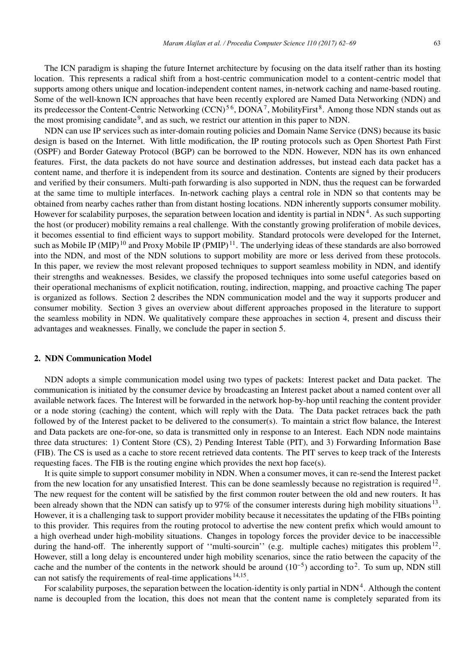The ICN paradigm is shaping the future Internet architecture by focusing on the data itself rather than its hosting location. This represents a radical shift from a host-centric communication model to a content-centric model that supports among others unique and location-independent content names, in-network caching and name-based routing. Some of the well-known ICN approaches that have been recently explored are Named Data Networking (NDN) and its predecessor the Content-Centric Networking (CCN)<sup>56</sup>, DONA<sup>7</sup>, MobilityFirst<sup>8</sup>. Among those NDN stands out as the most promising candidate<sup>9</sup>, and as such, we restrict our attention in this paper to NDN.

NDN can use IP services such as inter-domain routing policies and Domain Name Service (DNS) because its basic design is based on the Internet. With little modification, the IP routing protocols such as Open Shortest Path First (OSPF) and Border Gateway Protocol (BGP) can be borrowed to the NDN. However, NDN has its own enhanced features. First, the data packets do not have source and destination addresses, but instead each data packet has a content name, and therfore it is independent from its source and destination. Contents are signed by their producers and verified by their consumers. Multi-path forwarding is also supported in NDN, thus the request can be forwarded at the same time to multiple interfaces. In-network caching plays a central role in NDN so that contents may be obtained from nearby caches rather than from distant hosting locations. NDN inherently supports consumer mobility. However for scalability purposes, the separation between location and identity is partial in  $NDN<sup>4</sup>$ . As such supporting the host (or producer) mobility remains a real challenge. With the constantly growing proliferation of mobile devices, it becomes essential to find efficient ways to support mobility. Standard protocols were developed for the Internet, such as Mobile IP (MIP)<sup>10</sup> and Proxy Mobile IP (PMIP)<sup>11</sup>. The underlying ideas of these standards are also borrowed into the NDN, and most of the NDN solutions to support mobility are more or less derived from these protocols. In this paper, we review the most relevant proposed techniques to support seamless mobility in NDN, and identify their strengths and weaknesses. Besides, we classify the proposed techniques into some useful categories based on their operational mechanisms of explicit notification, routing, indirection, mapping, and proactive caching The paper is organized as follows. Section 2 describes the NDN communication model and the way it supports producer and consumer mobility. Section 3 gives an overview about different approaches proposed in the literature to support the seamless mobility in NDN. We qualitatively compare these approaches in section 4, present and discuss their advantages and weaknesses. Finally, we conclude the paper in section 5.

#### 2. NDN Communication Model

NDN adopts a simple communication model using two types of packets: Interest packet and Data packet. The communication is initiated by the consumer device by broadcasting an Interest packet about a named content over all available network faces. The Interest will be forwarded in the network hop-by-hop until reaching the content provider or a node storing (caching) the content, which will reply with the Data. The Data packet retraces back the path followed by of the Interest packet to be delivered to the consumer(s). To maintain a strict flow balance, the Interest and Data packets are one-for-one, so data is transmitted only in response to an Interest. Each NDN node maintains three data structures: 1) Content Store (CS), 2) Pending Interest Table (PIT), and 3) Forwarding Information Base (FIB). The CS is used as a cache to store recent retrieved data contents. The PIT serves to keep track of the Interests requesting faces. The FIB is the routing engine which provides the next hop face(s).

It is quite simple to support consumer mobility in NDN. When a consumer moves, it can re-send the Interest packet from the new location for any unsatisfied Interest. This can be done seamlessly because no registration is required<sup>12</sup>. The new request for the content will be satisfied by the first common router between the old and new routers. It has been already shown that the NDN can satisfy up to 97% of the consumer interests during high mobility situations  $13$ . However, it is a challenging task to support provider mobility because it necessitates the updating of the FIBs pointing to this provider. This requires from the routing protocol to advertise the new content prefix which would amount to a high overhead under high-mobility situations. Changes in topology forces the provider device to be inaccessible during the hand-off. The inherently support of "multi-sourcin" (e.g. multiple caches) mitigates this problem<sup>12</sup>. However, still a long delay is encountered under high mobility scenarios, since the ratio between the capacity of the cache and the number of the contents in the network should be around  $(10^{-5})$  according to<sup>2</sup>. To sum up, NDN still can not satisfy the requirements of real-time applications 14,15.

For scalability purposes, the separation between the location-identity is only partial in  $NDN<sup>4</sup>$ . Although the content name is decoupled from the location, this does not mean that the content name is completely separated from its